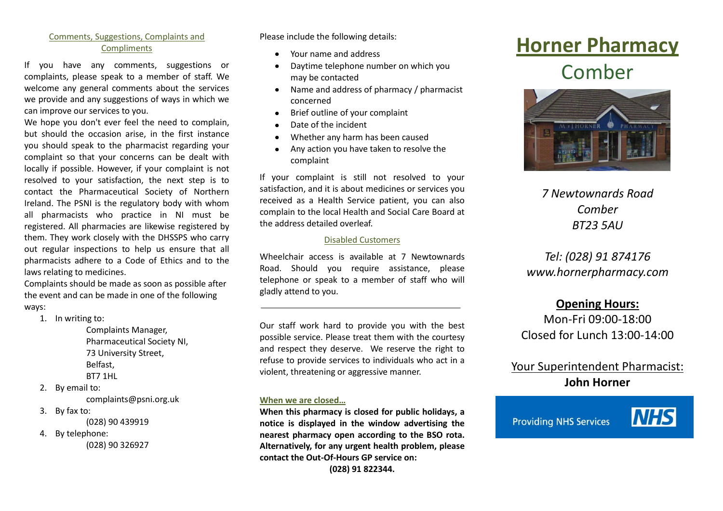# Comments, Suggestions, Complaints and **Compliments**

If you have any comments, suggestions or complaints, please speak to a member of staff. We welcome any general comments about the services we provide and any suggestions of ways in which we can improve our services to you.

We hope you don't ever feel the need to complain, but should the occasion arise, in the first instance you should speak to the pharmacist regarding your complaint so that your concerns can be dealt with locally if possible. However, if your complaint is not resolved to your satisfaction, the next step is to contact the Pharmaceutical Society of Northern Ireland. The PSNI is the regulatory body with whom all pharmacists who practice in NI must be registered. All pharmacies are likewise registered by them. They work closely with the DHSSPS who carry out regular inspections to help us ensure that all pharmacists adhere to a Code of Ethics and to the laws relating to medicines.

Complaints should be made as soon as possible after the event and can be made in one of the following ways:

1. In writing to:

Complaints Manager, Pharmaceutical Society NI, 73 University Street, Belfast, BT7 1HL

2. By email to:

complaints@psni.org.uk

3. By fax to:

(028) 90 439919

4. By telephone:

(028) 90 326927

Please include the following details:

- Your name and address  $\bullet$
- Daytime telephone number on which you  $\bullet$ may be contacted
- Name and address of pharmacy / pharmacist  $\bullet$ concerned
- Brief outline of your complaint  $\bullet$
- Date of the incident
- Whether any harm has been caused
- Any action you have taken to resolve the  $\bullet$ complaint

If your complaint is still not resolved to your satisfaction, and it is about medicines or services you received as a Health Service patient, you can also complain to the local Health and Social Care Board at the address detailed overleaf.

## Disabled Customers

Wheelchair access is available at 7 Newtownards Road. Should you require assistance, please telephone or speak to a member of staff who will gladly attend to you.

Our staff work hard to provide you with the best possible service. Please treat them with the courtesy and respect they deserve. We reserve the right to refuse to provide services to individuals who act in a violent, threatening or aggressive manner.

## **When we are closed…**

**When this pharmacy is closed for public holidays, a notice is displayed in the window advertising the nearest pharmacy open according to the BSO rota. Alternatively, for any urgent health problem, please contact the Out-Of-Hours GP service on:**

**(028) 91 822344.**

# **Horner Pharmacy** Comber



*7 Newtownards Road Comber BT23 5AU*

# *Tel: (028) 91 874176 www.hornerpharmacy.com*

# **Opening Hours:**

Mon-Fri 09:00-18:00 Closed for Lunch 13:00-14:00

# Your Superintendent Pharmacist: **John Horner**

**Providing NHS Services**